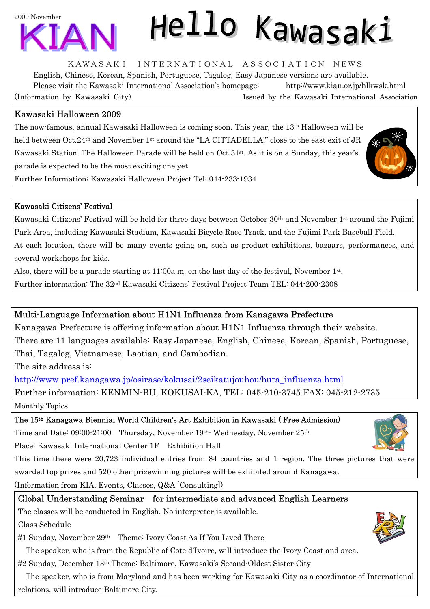

# Hello Kawasaki

KAWASAKI INTERNATIONAL ASSOCIATION NEWS

English, Chinese, Korean, Spanish, Portuguese, Tagalog, Easy Japanese versions are available. Please visit the Kawasaki International Association's homepage: http://www.kian.or.jp/hlkwsk.html (Information by Kawasaki City) Issued by the Kawasaki International Association

### Kawasaki Halloween 2009

The now-famous, annual Kawasaki Halloween is coming soon. This year, the 13th Halloween will be held between Oct.24<sup>th</sup> and November 1<sup>st</sup> around the "LA CITTADELLA," close to the east exit of JR Kawasaki Station. The Halloween Parade will be held on Oct.31st. As it is on a Sunday, this year's parade is expected to be the most exciting one yet.





Kawasaki Citizens' Festival will be held for three days between October 30th and November 1st around the Fujimi Park Area, including Kawasaki Stadium, Kawasaki Bicycle Race Track, and the Fujimi Park Baseball Field. At each location, there will be many events going on, such as product exhibitions, bazaars, performances, and several workshops for kids.

Also, there will be a parade starting at  $11:00a$ .m. on the last day of the festival, November  $1<sup>st</sup>$ .

Further information: The 32nd Kawasaki Citizens' Festival Project Team TEL: 044-200-2308

#### Multi-Language Information about H1N1 Influenza from Kanagawa Prefecture

Kanagawa Prefecture is offering information about H1N1 Influenza through their website. There are 11 languages available: Easy Japanese, English, Chinese, Korean, Spanish, Portuguese, Thai, Tagalog, Vietnamese, Laotian, and Cambodian.

The site address is:

http://www.pref.kanagawa.jp/osirase/kokusai/2seikatujouhou/buta\_influenza.html

Further information: KENMIN-BU, KOKUSAI-KA, TEL: 045-210-3745 FAX: 045-212-2735

Monthly Topics

The 15th Kanagawa Biennial World Children's Art Exhibition in Kawasaki ( Free Admission)

Time and Date: 09:00-21:00 Thursday, November 19th- Wednesday, November 25th

Place: Kawasaki International Center 1F Exhibition Hall

This time there were 20,723 individual entries from 84 countries and 1 region. The three pictures that were awarded top prizes and 520 other prizewinning pictures will be exhibited around Kanagawa.

(Information from KIA, Events, Classes, Q&A [Consulting])

#### Global Understanding Seminar for intermediate and advanced English Learners

The classes will be conducted in English. No interpreter is available.

Class Schedule

#1 Sunday, November 29th Theme: Ivory Coast As If You Lived There

The speaker, who is from the Republic of Cote d'Ivoire, will introduce the Ivory Coast and area.

#2 Sunday, December 13th Theme: Baltimore, Kawasaki's Second-Oldest Sister City

 The speaker, who is from Maryland and has been working for Kawasaki City as a coordinator of International relations, will introduce Baltimore City.